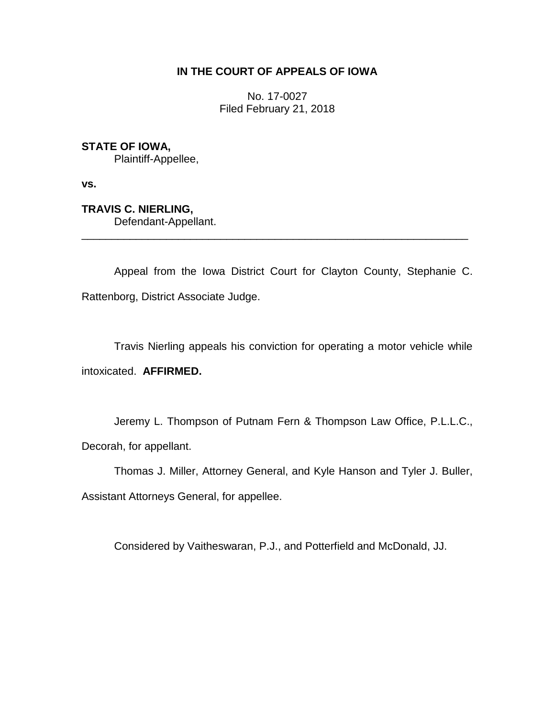## **IN THE COURT OF APPEALS OF IOWA**

No. 17-0027 Filed February 21, 2018

**STATE OF IOWA,**

Plaintiff-Appellee,

**vs.**

**TRAVIS C. NIERLING,**

Defendant-Appellant.

Appeal from the Iowa District Court for Clayton County, Stephanie C. Rattenborg, District Associate Judge.

\_\_\_\_\_\_\_\_\_\_\_\_\_\_\_\_\_\_\_\_\_\_\_\_\_\_\_\_\_\_\_\_\_\_\_\_\_\_\_\_\_\_\_\_\_\_\_\_\_\_\_\_\_\_\_\_\_\_\_\_\_\_\_\_

Travis Nierling appeals his conviction for operating a motor vehicle while intoxicated. **AFFIRMED.**

Jeremy L. Thompson of Putnam Fern & Thompson Law Office, P.L.L.C., Decorah, for appellant.

Thomas J. Miller, Attorney General, and Kyle Hanson and Tyler J. Buller,

Assistant Attorneys General, for appellee.

Considered by Vaitheswaran, P.J., and Potterfield and McDonald, JJ.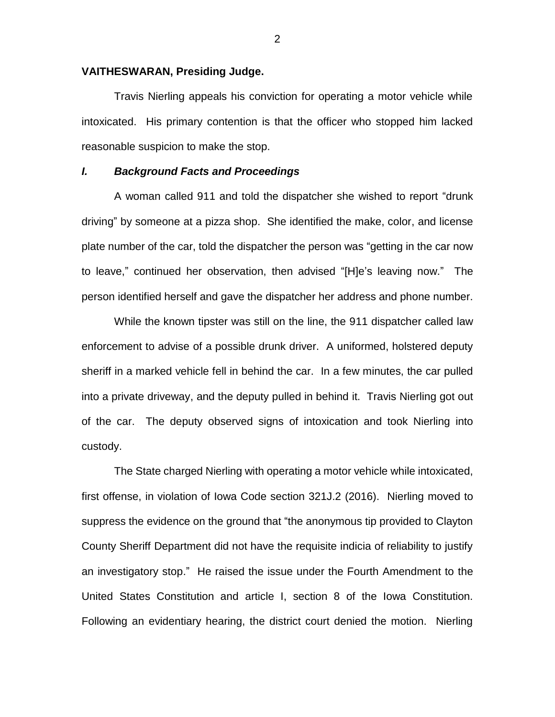#### **VAITHESWARAN, Presiding Judge.**

Travis Nierling appeals his conviction for operating a motor vehicle while intoxicated. His primary contention is that the officer who stopped him lacked reasonable suspicion to make the stop.

### *I. Background Facts and Proceedings*

A woman called 911 and told the dispatcher she wished to report "drunk driving" by someone at a pizza shop. She identified the make, color, and license plate number of the car, told the dispatcher the person was "getting in the car now to leave," continued her observation, then advised "[H]e's leaving now." The person identified herself and gave the dispatcher her address and phone number.

While the known tipster was still on the line, the 911 dispatcher called law enforcement to advise of a possible drunk driver. A uniformed, holstered deputy sheriff in a marked vehicle fell in behind the car. In a few minutes, the car pulled into a private driveway, and the deputy pulled in behind it. Travis Nierling got out of the car. The deputy observed signs of intoxication and took Nierling into custody.

The State charged Nierling with operating a motor vehicle while intoxicated, first offense, in violation of Iowa Code section 321J.2 (2016). Nierling moved to suppress the evidence on the ground that "the anonymous tip provided to Clayton County Sheriff Department did not have the requisite indicia of reliability to justify an investigatory stop." He raised the issue under the Fourth Amendment to the United States Constitution and article I, section 8 of the Iowa Constitution. Following an evidentiary hearing, the district court denied the motion. Nierling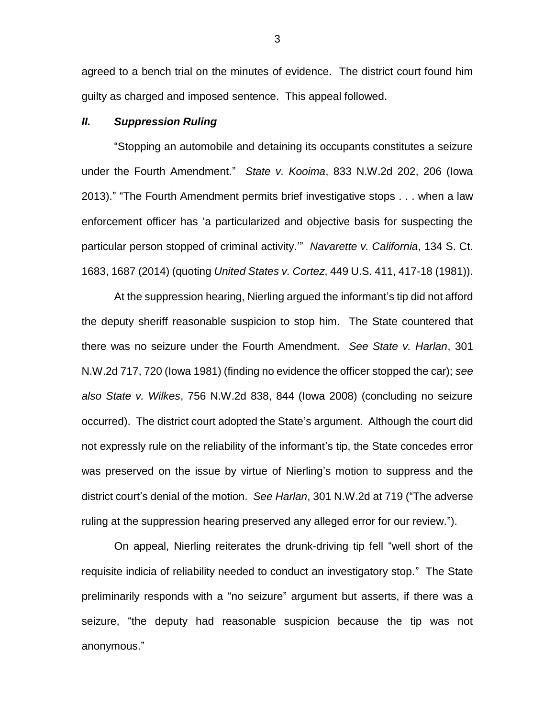agreed to a bench trial on the minutes of evidence. The district court found him guilty as charged and imposed sentence. This appeal followed.

#### *II. Suppression Ruling*

"Stopping an automobile and detaining its occupants constitutes a seizure under the Fourth Amendment." *State v. Kooima*, 833 N.W.2d 202, 206 (Iowa 2013)." "The Fourth Amendment permits brief investigative stops . . . when a law enforcement officer has 'a particularized and objective basis for suspecting the particular person stopped of criminal activity.'" *Navarette v. California*, 134 S. Ct. 1683, 1687 (2014) (quoting *United States v. Cortez*, 449 U.S. 411, 417-18 (1981)).

At the suppression hearing, Nierling argued the informant's tip did not afford the deputy sheriff reasonable suspicion to stop him. The State countered that there was no seizure under the Fourth Amendment. *See State v. Harlan*, 301 N.W.2d 717, 720 (Iowa 1981) (finding no evidence the officer stopped the car); *see also State v. Wilkes*, 756 N.W.2d 838, 844 (Iowa 2008) (concluding no seizure occurred). The district court adopted the State's argument. Although the court did not expressly rule on the reliability of the informant's tip, the State concedes error was preserved on the issue by virtue of Nierling's motion to suppress and the district court's denial of the motion. *See Harlan*, 301 N.W.2d at 719 ("The adverse ruling at the suppression hearing preserved any alleged error for our review.").

On appeal, Nierling reiterates the drunk-driving tip fell "well short of the requisite indicia of reliability needed to conduct an investigatory stop." The State preliminarily responds with a "no seizure" argument but asserts, if there was a seizure, "the deputy had reasonable suspicion because the tip was not anonymous."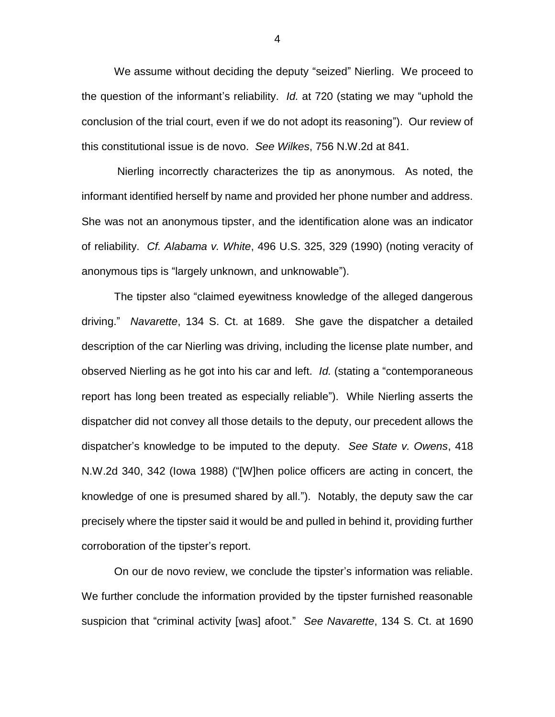We assume without deciding the deputy "seized" Nierling. We proceed to the question of the informant's reliability. *Id.* at 720 (stating we may "uphold the conclusion of the trial court, even if we do not adopt its reasoning"). Our review of this constitutional issue is de novo. *See Wilkes*, 756 N.W.2d at 841.

Nierling incorrectly characterizes the tip as anonymous. As noted, the informant identified herself by name and provided her phone number and address. She was not an anonymous tipster, and the identification alone was an indicator of reliability. *Cf. Alabama v. White*, 496 U.S. 325, 329 (1990) (noting veracity of anonymous tips is "largely unknown, and unknowable").

The tipster also "claimed eyewitness knowledge of the alleged dangerous driving." *Navarette*, 134 S. Ct. at 1689. She gave the dispatcher a detailed description of the car Nierling was driving, including the license plate number, and observed Nierling as he got into his car and left. *Id.* (stating a "contemporaneous report has long been treated as especially reliable"). While Nierling asserts the dispatcher did not convey all those details to the deputy, our precedent allows the dispatcher's knowledge to be imputed to the deputy. *See State v. Owens*, 418 N.W.2d 340, 342 (Iowa 1988) ("[W]hen police officers are acting in concert, the knowledge of one is presumed shared by all."). Notably, the deputy saw the car precisely where the tipster said it would be and pulled in behind it, providing further corroboration of the tipster's report.

On our de novo review, we conclude the tipster's information was reliable. We further conclude the information provided by the tipster furnished reasonable suspicion that "criminal activity [was] afoot." *See Navarette*, 134 S. Ct. at 1690

4